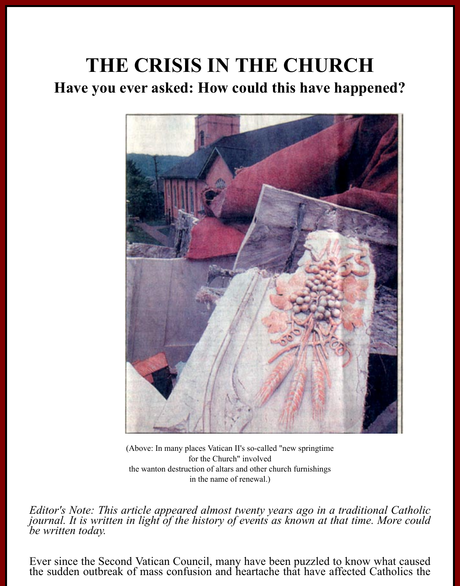# **THE CRISIS IN THE CHURCH Have you ever asked: How could this have happened?**



(Above: In many places Vatican II's so-called "new springtime for the Church" involved the wanton destruction of altars and other church furnishings in the name of renewal.)

*Editor's Note: This article appeared almost twenty years ago in a traditional Catholic journal. It is written in light of the history of events as known at that time. More could be written today.*

Ever since the Second Vatican Council, many have been puzzled to know what caused the sudden outbreak of mass confusion and heartache that have affected Catholics the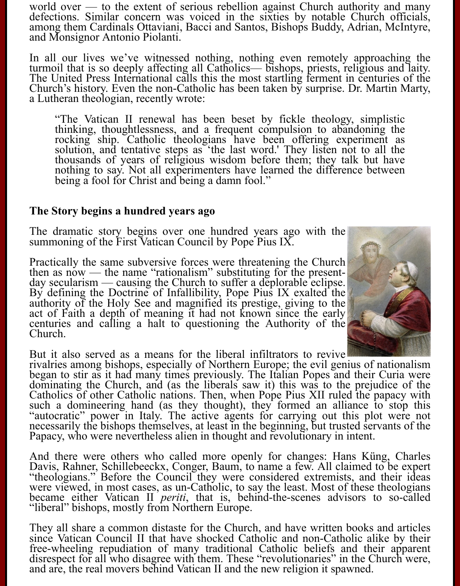world over — to the extent of serious rebellion against Church authority and many defections. Similar concern was voiced in the sixties by notable Church officials, among them Cardinals Ottaviani, Bacci and Santos, Bishops Buddy, Adrian, McIntyre, and Monsignor Antonio Piolanti.

In all our lives we've witnessed nothing, nothing even remotely approaching the turmoil that is so deeply affecting all Catholics— bishops, priests, religious and laity. The United Press International calls this the most s

"The Vatican II renewal has been beset by fickle theology, simplistic thinking, thoughtlessness, and a frequent compulsion to abandoning the rocking ship. Catholic theologians have been offering experiment as solution, and

#### **The Story begins a hundred years ago**

The dramatic story begins over one hundred years ago with the summoning of the First Vatican Council by Pope Pius IX.

Practically the same subversive forces were threatening the Church then as now — the name "rationalism" substituting for the present-<br>day secularism — causing the Church to suffer a deplorable eclipse.<br>By defining the Doctrine of Infallibility, Pope Pius IX exalted the authority of the Holy See and magnified its prestige, giving to the act of Faith a depth of meaning it had not known since the early centuries and calling a halt to questioning the Authority of the Church.



But it also served as a means for the liberal infiltrators to revive<br>rivalries among bishops, especially of Northern Europe; the evil genius of nationalism began to stir as it had many times previously. The Italian Popes and their Curia were<br>dominating the Church, and (as the liberals saw it) this was to the prejudice of the<br>Catholics of other Catholic nations. Then, when Pop

And there were others who called more openly for changes: Hans Küng, Charles Davis, Rahner, Schillebeeckx, Conger, Baum, to name a few. All claimed to be expert "theologians." Before the Council they were considered extrem became either Vatican II *periti*, that is, behind-the-scenes advisors to so-called "liberal" bishops, mostly from Northern Europe.

They all share a common distaste for the Church, and have written books and articles since Vatican Council II that have shocked Catholic and non-Catholic alike by their free-wheeling repudiation of many traditional Catholic beliefs and their apparent disrespect for all who disagree with them. These "revolutionaries" in the Church were, and are, the real movers behind Vatican II and the ne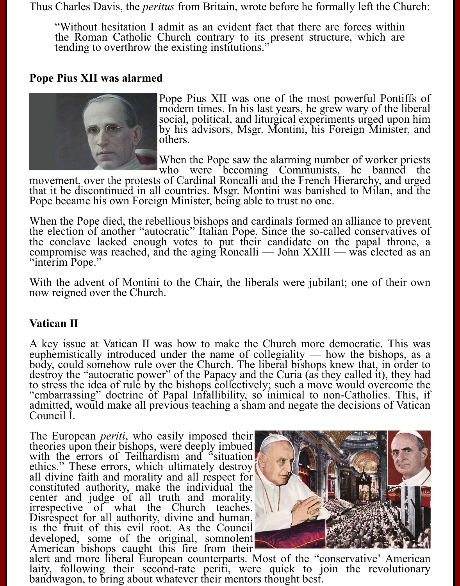Thus Charles Davis, the *peritus* from Britain, wrote before he formally left the Church:

"Without hesitation I admit as an evident fact that there are forces within the Roman Catholic Church contrary to its present structure, which are tending to overthrow the existing institutions."

## **Pope Pius XII was alarmed**



Pope Pius XII was one of the most powerful Pontiffs of modern times. In his last years, he grew wary of the liberal social, political, and liturgical experiments urged upon him social, political, and liturgical experiments urged upon him by his advisors, Msgr. Montini, his Foreign Minister, and others.

When the Pope saw the alarming number of worker priests<br>who were becoming Communists, he banned the

who were becoming Communists, he banned the movement, over the protests of Cardinal Roncalli and the French Hierarchy, and urged that it be discontinued in all countries. Msgr. Montini was banished to Milan, and the Pope became his own Foreign Minister, being able to trust no one.

When the Pope died, the rebellious bishops and cardinals formed an alliance to prevent<br>the election of another "autocratic" Italian Pope. Since the so-called conservatives of<br>the conclave lacked enough votes to put their c

With the advent of Montini to the Chair, the liberals were jubilant; one of their own now reigned over the Church.

### **Vatican II**

A key issue at Vatican II was how to make the Church more democratic. This was euphemistically introduced under the name of collegiality — how the bishops, as a body, could somehow rule over the Church. The liberal bishops knew that, in order to destroy the "autocratic power" of the Papacy and the Curia (as they called it), they had to stress the idea of rule by the bishops collectively; such a move would overcome the "embarrassing" doctrine of Papal Infallibility, so inimical to non-Catholics. This, if admitted, would make all previous teaching a sham and negate the decisions of Vatican Council I.

The European *periti*, who easily imposed their theories upon their bishops, were deeply imbued with the errors of Teilhardism and "situation" ethics." These errors, which ultimately destroy all divine faith and morality and all respect for constituted authority, make the individual the center and judge of all truth and morality, irrespective of what the Church teaches. Disrespect for all authority, divine and human, is the fruit of this evil root. As the Council developed, some of the original, somnolent<br>American bishops caught this fire from their



alert and more liberal European counterparts. Most of the "conservative" American laity, following their second-rate periti, were quick to join the revolutionary bandwagon, to bring about whatever their mentors thought bes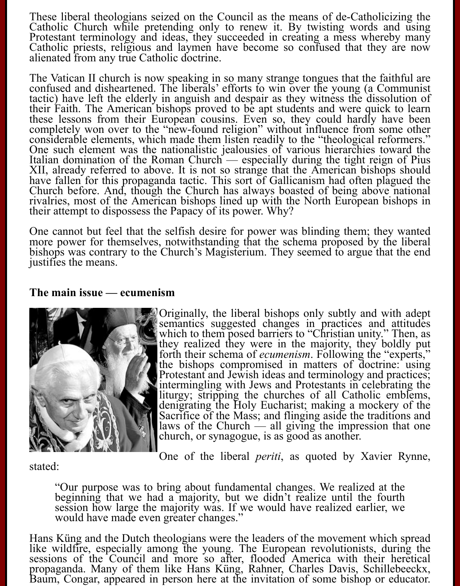These liberal theologians seized on the Council as the means of de-Catholicizing the Catholic Church while pretending only to renew it. By twisting words and using Protestant terminology and ideas, they succeeded in creati

The Vatican II church is now speaking in so many strange tongues that the faithful are confused and disheartened. The liberals' efforts to win over the young (a Communist tactic) have left the elderly in anguish and despai completely won over to the "new-found religion" without influence from some other considerable elements, which made them listen readily to the "theological reformers." One such element was the nationalistic jealousies of various hierarchies toward the Italian domination of the Roman Church — especially during the tight reign of Pius XII, already referred to above. It is not so strange that the American bishops should<br>have fallen for this propaganda tactic. This sort of Gallicanism had often plagued the<br>Church before. And, though the Church has always

One cannot but feel that the selfish desire for power was blinding them; they wanted more power for themselves, notwithstanding that the schema proposed by the liberal bishops was contrary to the Church's Magisterium. They

#### **The main issue — ecumenism**



Originally, the liberal bishops only subtly and with adept semantics suggested changes in practices and attitudes which to them posed barriers to "Christian unity." Then, as they realized they were in the majority, they boldly put<br>forth their schema of *ecumenism*. Following the "experts,"<br>the bishops compromised in matters of doctrine: using<br>Protestant and Jewish ideas and terminology and pra intermingling with Jews and Protestants in celebrating the liturgy; stripping the churches of all Catholic emblems, denigrating the Holy Eucharist; making a mockery of the Sacrifice of the Mass; and flinging aside the traditions and laws of the Church  $\frac{1}{x}$  all giving the impression that one church, or synagogue, is as good as another.

One of the liberal *periti*, as quoted by Xavier Rynne, stated:

"Our purpose was to bring about fundamental changes. We realized at the beginning that we had a majority, but we didn't realize until the fourth session how large the majority was. If we would have realized earlier, we would have made even greater changes."

Hans Küng and the Dutch theologians were the leaders of the movement which spread like wildfire, especially among the young. The European revolutionists, during the sessions of the Council and more so after, flooded Americ propaganda. Many of them like Hans Küng, Rahner, Charles Davis, Schillebeeckx, Baum, Congar, appeared in person here at the invitation of some bishop or educator.